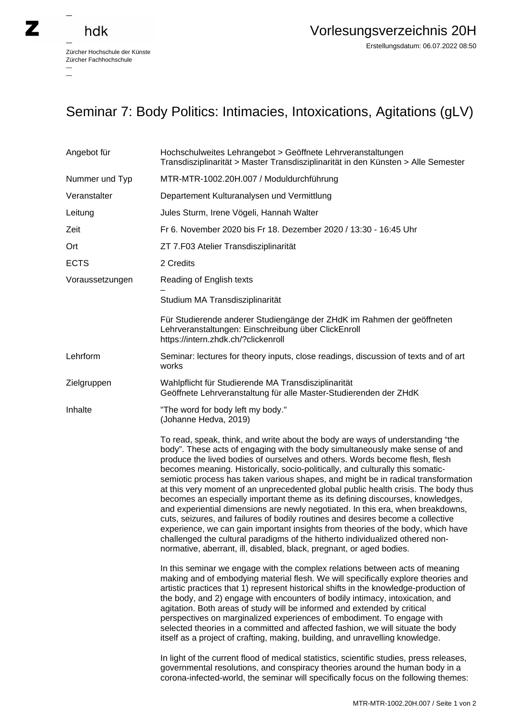$\overline{\phantom{0}}$ 

## Seminar 7: Body Politics: Intimacies, Intoxications, Agitations (gLV)

| Angebot für     | Hochschulweites Lehrangebot > Geöffnete Lehrveranstaltungen<br>Transdisziplinarität > Master Transdisziplinarität in den Künsten > Alle Semester                                                                                                                                                                                                                                                                                                                                                                                                                                                                                                                                                                                                                                                                                                                                                                                                                                                               |
|-----------------|----------------------------------------------------------------------------------------------------------------------------------------------------------------------------------------------------------------------------------------------------------------------------------------------------------------------------------------------------------------------------------------------------------------------------------------------------------------------------------------------------------------------------------------------------------------------------------------------------------------------------------------------------------------------------------------------------------------------------------------------------------------------------------------------------------------------------------------------------------------------------------------------------------------------------------------------------------------------------------------------------------------|
| Nummer und Typ  | MTR-MTR-1002.20H.007 / Moduldurchführung                                                                                                                                                                                                                                                                                                                                                                                                                                                                                                                                                                                                                                                                                                                                                                                                                                                                                                                                                                       |
| Veranstalter    | Departement Kulturanalysen und Vermittlung                                                                                                                                                                                                                                                                                                                                                                                                                                                                                                                                                                                                                                                                                                                                                                                                                                                                                                                                                                     |
| Leitung         | Jules Sturm, Irene Vögeli, Hannah Walter                                                                                                                                                                                                                                                                                                                                                                                                                                                                                                                                                                                                                                                                                                                                                                                                                                                                                                                                                                       |
| Zeit            | Fr 6. November 2020 bis Fr 18. Dezember 2020 / 13:30 - 16:45 Uhr                                                                                                                                                                                                                                                                                                                                                                                                                                                                                                                                                                                                                                                                                                                                                                                                                                                                                                                                               |
| Ort             | ZT 7.F03 Atelier Transdisziplinarität                                                                                                                                                                                                                                                                                                                                                                                                                                                                                                                                                                                                                                                                                                                                                                                                                                                                                                                                                                          |
| <b>ECTS</b>     | 2 Credits                                                                                                                                                                                                                                                                                                                                                                                                                                                                                                                                                                                                                                                                                                                                                                                                                                                                                                                                                                                                      |
| Voraussetzungen | Reading of English texts                                                                                                                                                                                                                                                                                                                                                                                                                                                                                                                                                                                                                                                                                                                                                                                                                                                                                                                                                                                       |
|                 | Studium MA Transdisziplinarität                                                                                                                                                                                                                                                                                                                                                                                                                                                                                                                                                                                                                                                                                                                                                                                                                                                                                                                                                                                |
|                 | Für Studierende anderer Studiengänge der ZHdK im Rahmen der geöffneten<br>Lehrveranstaltungen: Einschreibung über ClickEnroll<br>https://intern.zhdk.ch/?clickenroll                                                                                                                                                                                                                                                                                                                                                                                                                                                                                                                                                                                                                                                                                                                                                                                                                                           |
| Lehrform        | Seminar: lectures for theory inputs, close readings, discussion of texts and of art<br>works                                                                                                                                                                                                                                                                                                                                                                                                                                                                                                                                                                                                                                                                                                                                                                                                                                                                                                                   |
| Zielgruppen     | Wahlpflicht für Studierende MA Transdisziplinarität<br>Geöffnete Lehrveranstaltung für alle Master-Studierenden der ZHdK                                                                                                                                                                                                                                                                                                                                                                                                                                                                                                                                                                                                                                                                                                                                                                                                                                                                                       |
| Inhalte         | "The word for body left my body."<br>(Johanne Hedva, 2019)                                                                                                                                                                                                                                                                                                                                                                                                                                                                                                                                                                                                                                                                                                                                                                                                                                                                                                                                                     |
|                 | To read, speak, think, and write about the body are ways of understanding "the<br>body". These acts of engaging with the body simultaneously make sense of and<br>produce the lived bodies of ourselves and others. Words become flesh, flesh<br>becomes meaning. Historically, socio-politically, and culturally this somatic-<br>semiotic process has taken various shapes, and might be in radical transformation<br>at this very moment of an unprecedented global public health crisis. The body thus<br>becomes an especially important theme as its defining discourses, knowledges,<br>and experiential dimensions are newly negotiated. In this era, when breakdowns,<br>cuts, seizures, and failures of bodily routines and desires become a collective<br>experience, we can gain important insights from theories of the body, which have<br>challenged the cultural paradigms of the hitherto individualized othered non-<br>normative, aberrant, ill, disabled, black, pregnant, or aged bodies. |
|                 | In this seminar we engage with the complex relations between acts of meaning<br>making and of embodying material flesh. We will specifically explore theories and<br>artistic practices that 1) represent historical shifts in the knowledge-production of<br>the body, and 2) engage with encounters of bodily intimacy, intoxication, and<br>agitation. Both areas of study will be informed and extended by critical<br>perspectives on marginalized experiences of embodiment. To engage with<br>selected theories in a committed and affected fashion, we will situate the body<br>itself as a project of crafting, making, building, and unravelling knowledge.                                                                                                                                                                                                                                                                                                                                          |
|                 | In light of the current flood of medical statistics, scientific studies, press releases,<br>governmental resolutions, and conspiracy theories around the human body in a<br>corona-infected-world, the seminar will specifically focus on the following themes:                                                                                                                                                                                                                                                                                                                                                                                                                                                                                                                                                                                                                                                                                                                                                |